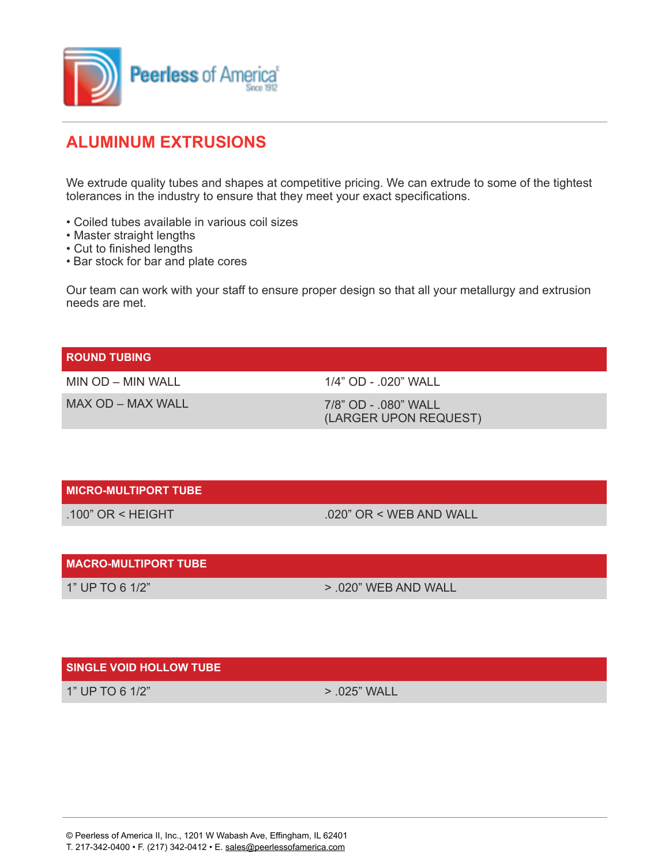

## **ALUMINUM EXTRUSIONS**

We extrude quality tubes and shapes at competitive pricing. We can extrude to some of the tightest tolerances in the industry to ensure that they meet your exact specifications.

- Coiled tubes available in various coil sizes
- Master straight lengths
- Cut to finished lengths
- Bar stock for bar and plate cores

Our team can work with your staff to ensure proper design so that all your metallurgy and extrusion needs are met.

| <b>ROUND TUBING</b> |                                               |
|---------------------|-----------------------------------------------|
| MIN OD – MIN WALL   | $1/4$ " OD - $020$ " WALL                     |
| MAX OD – MAX WALL   | 7/8" OD - .080" WALL<br>(LARGER UPON REQUEST) |
|                     |                                               |

|  | <b>MICRO-MULTIPORT TUBE</b> |  |
|--|-----------------------------|--|
|  |                             |  |

 $.100"$  OR < HEIGHT  $.020"$  OR < WEB AND WALL

| <b>MACRO-MULTIPORT TUBE</b> |                          |
|-----------------------------|--------------------------|
| 1" UP TO 6 1/2"             | $> 0.020$ " WEB AND WALL |

## **SINGLE VOID HOLLOW TUBE**

1" UP TO 6 1/2" 2005) 25" WALL